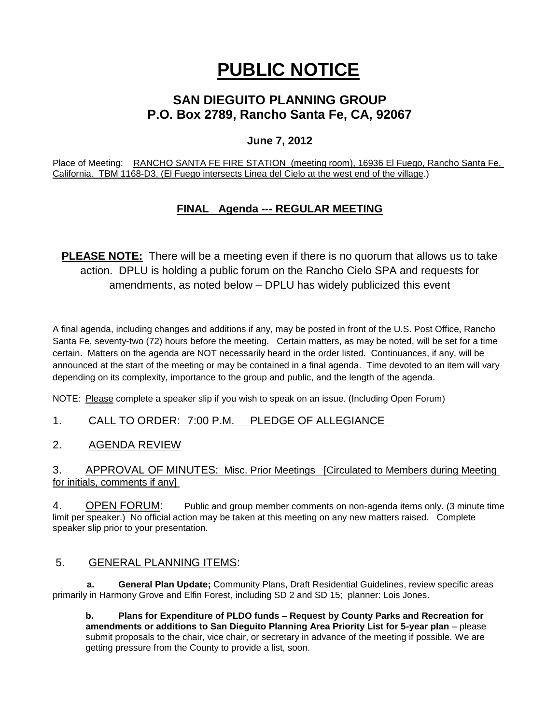# **PUBLIC NOTICE**

# **SAN DIEGUITO PLANNING GROUP P.O. Box 2789, Rancho Santa Fe, CA, 92067**

## **June 7, 2012**

Place of Meeting: RANCHO SANTA FE FIRE STATION (meeting room), 16936 El Fuego, Rancho Santa Fe, California. TBM 1168-D3, (El Fuego intersects Linea del Cielo at the west end of the village.)

# **FINAL Agenda --- REGULAR MEETING**

**PLEASE NOTE:** There will be a meeting even if there is no quorum that allows us to take action. DPLU is holding a public forum on the Rancho Cielo SPA and requests for amendments, as noted below – DPLU has widely publicized this event

A final agenda, including changes and additions if any, may be posted in front of the U.S. Post Office, Rancho Santa Fe, seventy-two (72) hours before the meeting. Certain matters, as may be noted, will be set for a time certain. Matters on the agenda are NOT necessarily heard in the order listed. Continuances, if any, will be announced at the start of the meeting or may be contained in a final agenda. Time devoted to an item will vary depending on its complexity, importance to the group and public, and the length of the agenda.

NOTE: Please complete a speaker slip if you wish to speak on an issue. (Including Open Forum)

1. CALL TO ORDER: 7:00 P.M. PLEDGE OF ALLEGIANCE

2. AGENDA REVIEW

3. APPROVAL OF MINUTES: Misc. Prior Meetings [Circulated to Members during Meeting for initials, comments if any]

4. OPEN FORUM: Public and group member comments on non-agenda items only. (3 minute time limit per speaker.) No official action may be taken at this meeting on any new matters raised. Complete speaker slip prior to your presentation.

## 5. GENERAL PLANNING ITEMS:

 **a. General Plan Update;** Community Plans, Draft Residential Guidelines, review specific areas primarily in Harmony Grove and Elfin Forest, including SD 2 and SD 15; planner: Lois Jones.

**b. Plans for Expenditure of PLDO funds – Request by County Parks and Recreation for amendments or additions to San Dieguito Planning Area Priority List for 5-year plan** – please submit proposals to the chair, vice chair, or secretary in advance of the meeting if possible. We are getting pressure from the County to provide a list, soon.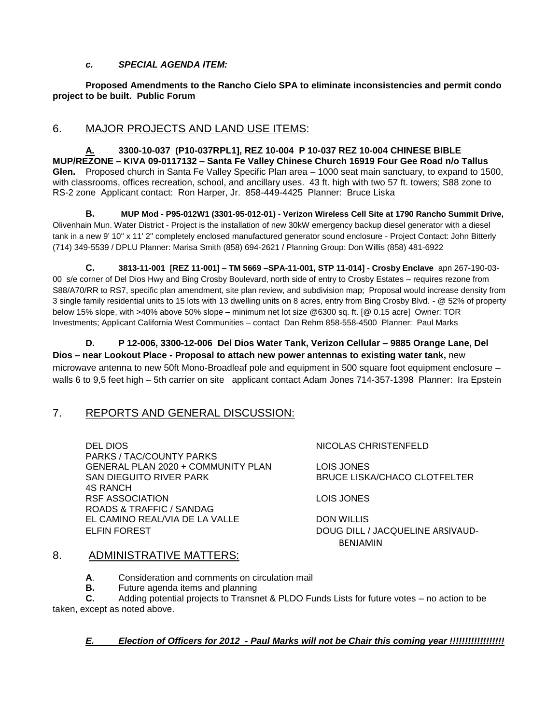#### *c. SPECIAL AGENDA ITEM:*

**Proposed Amendments to the Rancho Cielo SPA to eliminate inconsistencies and permit condo project to be built. Public Forum**

### 6. MAJOR PROJECTS AND LAND USE ITEMS:

**A. 3300-10-037 (P10-037RPL1], REZ 10-004 P 10-037 REZ 10-004 CHINESE BIBLE MUP/REZONE – KIVA 09-0117132 – Santa Fe Valley Chinese Church 16919 Four Gee Road n/o Tallus Glen.** Proposed church in Santa Fe Valley Specific Plan area – 1000 seat main sanctuary, to expand to 1500, with classrooms, offices recreation, school, and ancillary uses. 43 ft. high with two 57 ft. towers; S88 zone to RS-2 zone Applicant contact: Ron Harper, Jr. 858-449-4425 Planner: Bruce Liska

**B. MUP Mod - P95-012W1 (3301-95-012-01) - Verizon Wireless Cell Site at 1790 Rancho Summit Drive,**  Olivenhain Mun. Water District - Project is the installation of new 30kW emergency backup diesel generator with a diesel tank in a new 9' 10" x 11' 2" completely enclosed manufactured generator sound enclosure - Project Contact: John Bitterly (714) 349-5539 / DPLU Planner: Marisa Smith (858) 694-2621 / Planning Group: Don Willis (858) 481-6922

**C. 3813-11-001 [REZ 11-001] – TM 5669 –SPA-11-001, STP 11-014] - Crosby Enclave** apn 267-190-03- 00 s/e corner of Del Dios Hwy and Bing Crosby Boulevard, north side of entry to Crosby Estates – requires rezone from S88/A70/RR to RS7, specific plan amendment, site plan review, and subdivision map; Proposal would increase density from 3 single family residential units to 15 lots with 13 dwelling units on 8 acres, entry from Bing Crosby Blvd. - @ 52% of property below 15% slope, with >40% above 50% slope – minimum net lot size @6300 sq. ft. [@ 0.15 acre] Owner: TOR Investments; Applicant California West Communities – contact Dan Rehm 858-558-4500 Planner: Paul Marks

**D. P 12-006, 3300-12-006 Del Dios Water Tank, Verizon Cellular – 9885 Orange Lane, Del Dios – near Lookout Place - Proposal to attach new power antennas to existing water tank,** new microwave antenna to new 50ft Mono-Broadleaf pole and equipment in 500 square foot equipment enclosure – walls 6 to 9,5 feet high – 5th carrier on site applicant contact Adam Jones 714-357-1398 Planner: Ira Epstein

## 7. REPORTS AND GENERAL DISCUSSION:

DEL DIOS NICOLAS CHRISTENFELD PARKS / TAC/COUNTY PARKS GENERAL PLAN 2020 + COMMUNITY PLAN LOIS JONES SAN DIEGUITO RIVER PARK BRUCE LISKA/CHACO CLOTFELTER 4S RANCH RSF ASSOCIATION LOIS JONES ROADS & TRAFFIC / SANDAG EL CAMINO REAL/VIA DE LA VALLE DON WILLIS ELFIN FOREST DOUG DILL / JACQUELINE ARSIVAUD-

BENJAMIN

#### 8. ADMINISTRATIVE MATTERS:

**A**. Consideration and comments on circulation mail

**B.** Future agenda items and planning

**C.** Adding potential projects to Transnet & PLDO Funds Lists for future votes – no action to be taken, except as noted above.

#### *E. Election of Officers for 2012 - Paul Marks will not be Chair this coming year !!!!!!!!!!!!!!!!!!*